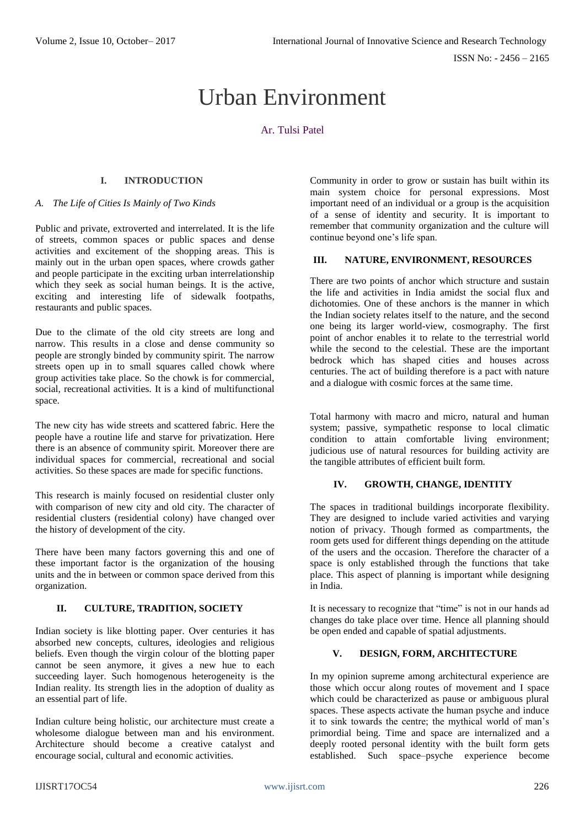# Urban Environment

# Ar. Tulsi Patel

# **I. INTRODUCTION**

#### *A. The Life of Cities Is Mainly of Two Kinds*

Public and private, extroverted and interrelated. It is the life of streets, common spaces or public spaces and dense activities and excitement of the shopping areas. This is mainly out in the urban open spaces, where crowds gather and people participate in the exciting urban interrelationship which they seek as social human beings. It is the active, exciting and interesting life of sidewalk footpaths, restaurants and public spaces.

Due to the climate of the old city streets are long and narrow. This results in a close and dense community so people are strongly binded by community spirit. The narrow streets open up in to small squares called chowk where group activities take place. So the chowk is for commercial, social, recreational activities. It is a kind of multifunctional space.

The new city has wide streets and scattered fabric. Here the people have a routine life and starve for privatization. Here there is an absence of community spirit. Moreover there are individual spaces for commercial, recreational and social activities. So these spaces are made for specific functions.

This research is mainly focused on residential cluster only with comparison of new city and old city. The character of residential clusters (residential colony) have changed over the history of development of the city.

There have been many factors governing this and one of these important factor is the organization of the housing units and the in between or common space derived from this organization.

## **II. CULTURE, TRADITION, SOCIETY**

Indian society is like blotting paper. Over centuries it has absorbed new concepts, cultures, ideologies and religious beliefs. Even though the virgin colour of the blotting paper cannot be seen anymore, it gives a new hue to each succeeding layer. Such homogenous heterogeneity is the Indian reality. Its strength lies in the adoption of duality as an essential part of life.

Indian culture being holistic, our architecture must create a wholesome dialogue between man and his environment. Architecture should become a creative catalyst and encourage social, cultural and economic activities.

Community in order to grow or sustain has built within its main system choice for personal expressions. Most important need of an individual or a group is the acquisition of a sense of identity and security. It is important to remember that community organization and the culture will continue beyond one's life span.

# **III. NATURE, ENVIRONMENT, RESOURCES**

There are two points of anchor which structure and sustain the life and activities in India amidst the social flux and dichotomies. One of these anchors is the manner in which the Indian society relates itself to the nature, and the second one being its larger world-view, cosmography. The first point of anchor enables it to relate to the terrestrial world while the second to the celestial. These are the important bedrock which has shaped cities and houses across centuries. The act of building therefore is a pact with nature and a dialogue with cosmic forces at the same time.

Total harmony with macro and micro, natural and human system; passive, sympathetic response to local climatic condition to attain comfortable living environment; judicious use of natural resources for building activity are the tangible attributes of efficient built form.

## **IV. GROWTH, CHANGE, IDENTITY**

The spaces in traditional buildings incorporate flexibility. They are designed to include varied activities and varying notion of privacy. Though formed as compartments, the room gets used for different things depending on the attitude of the users and the occasion. Therefore the character of a space is only established through the functions that take place. This aspect of planning is important while designing in India.

It is necessary to recognize that "time" is not in our hands ad changes do take place over time. Hence all planning should be open ended and capable of spatial adjustments.

## **V. DESIGN, FORM, ARCHITECTURE**

In my opinion supreme among architectural experience are those which occur along routes of movement and I space which could be characterized as pause or ambiguous plural spaces. These aspects activate the human psyche and induce it to sink towards the centre; the mythical world of man's primordial being. Time and space are internalized and a deeply rooted personal identity with the built form gets established. Such space–psyche experience become